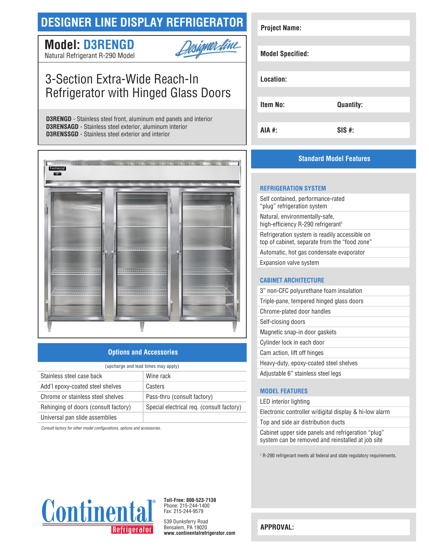## **DESIGNER LINE DISPLAY REFRIGERATOR**

# **Model: D3RENGD**



Natural Refrigerant R-290 Model

# 3-Section Extra-Wide Reach-In Refrigerator with Hinged Glass Doors

**D3RENGD** - Stainless steel front, aluminum end panels and interior **D3RENSAGD** - Stainless steel exterior, aluminum interior **D3RENSSGD** - Stainless steel exterior and interior



## **Options and Accessories**

| (upcharge and lead times may apply)  |                                           |  |
|--------------------------------------|-------------------------------------------|--|
| Stainless steel case back            | Wine rack                                 |  |
| Add'l epoxy-coated steel shelves     | Casters                                   |  |
| Chrome or stainless steel shelves    | Pass-thru (consult factory)               |  |
| Rehinging of doors (consult factory) | Special electrical req. (consult factory) |  |
| Universal pan slide assemblies       |                                           |  |

*Consult factory for other model configurations, options and accessories.*

# **Project Name: Model Specified: Location: Item No: Quantity: AIA #: SIS #:**

## **Standard Model Features**

#### **REFRIGERATION SYSTEM**

Self contained, performance-rated "plug" refrigeration system Natural, environmentally-safe, high-efficiency R-290 refrigerant<sup>1</sup> Refrigeration system is readily accessible on top of cabinet, separate from the "food zone" Automatic, hot gas condensate evaporator Expansion valve system

### **CABINET ARCHITECTURE**

| 3" non-CFC polyurethane foam insulation  |
|------------------------------------------|
| Triple-pane, tempered hinged glass doors |
| Chrome-plated door handles               |
| Self-closing doors                       |
| Magnetic snap-in door gaskets            |
| Cylinder lock in each door               |
| Cam action, lift off hinges              |
| Heavy-duty, epoxy-coated steel shelves   |
| Adjustable 6" stainless steel legs       |

### **MODEL FEATURES**

LED interior lighting

Electronic controller w/digital display & hi-low alarm Top and side air distribution ducts

Cabinet upper side panels and refrigeration "plug" system can be removed and reinstalled at job site

1 R-290 refrigerant meets all federal and state regulatory requirements.



**Toll-Free: 800-523-7138** Phone: 215-244-1400 Fax: 215-244-9579

539 Dunksferry Road Bensalem, PA 19020 **www.continentalrefrigerator.com** 

**APPROVAL:**